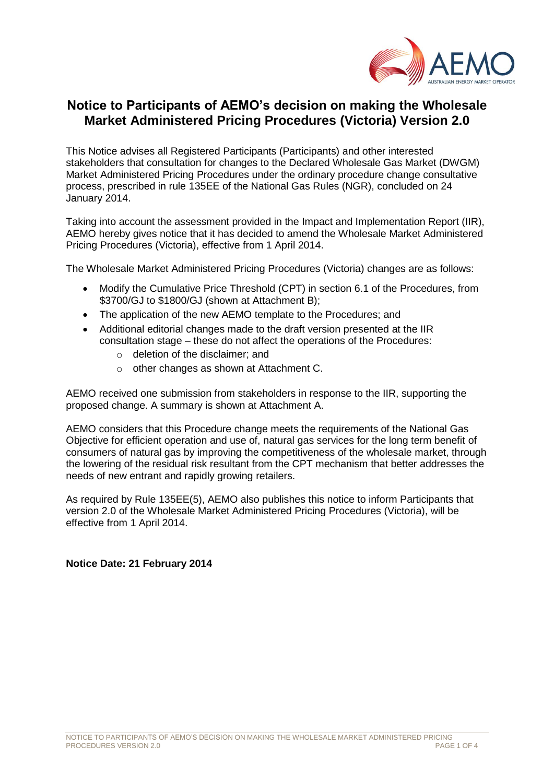

## **Notice to Participants of AEMO's decision on making the Wholesale Market Administered Pricing Procedures (Victoria) Version 2.0**

This Notice advises all Registered Participants (Participants) and other interested stakeholders that consultation for changes to the Declared Wholesale Gas Market (DWGM) Market Administered Pricing Procedures under the ordinary procedure change consultative process, prescribed in rule 135EE of the National Gas Rules (NGR), concluded on 24 January 2014.

Taking into account the assessment provided in the Impact and Implementation Report (IIR), AEMO hereby gives notice that it has decided to amend the Wholesale Market Administered Pricing Procedures (Victoria), effective from 1 April 2014.

The Wholesale Market Administered Pricing Procedures (Victoria) changes are as follows:

- Modify the Cumulative Price Threshold (CPT) in section 6.1 of the Procedures, from \$3700/GJ to \$1800/GJ (shown at Attachment B);
- The application of the new AEMO template to the Procedures; and
- Additional editorial changes made to the draft version presented at the IIR consultation stage – these do not affect the operations of the Procedures:
	- o deletion of the disclaimer; and
	- o other changes as shown at Attachment C.

AEMO received one submission from stakeholders in response to the IIR, supporting the proposed change. A summary is shown at Attachment A.

AEMO considers that this Procedure change meets the requirements of the National Gas Objective for efficient operation and use of, natural gas services for the long term benefit of consumers of natural gas by improving the competitiveness of the wholesale market, through the lowering of the residual risk resultant from the CPT mechanism that better addresses the needs of new entrant and rapidly growing retailers.

As required by Rule 135EE(5), AEMO also publishes this notice to inform Participants that version 2.0 of the Wholesale Market Administered Pricing Procedures (Victoria), will be effective from 1 April 2014.

#### **Notice Date: 21 February 2014**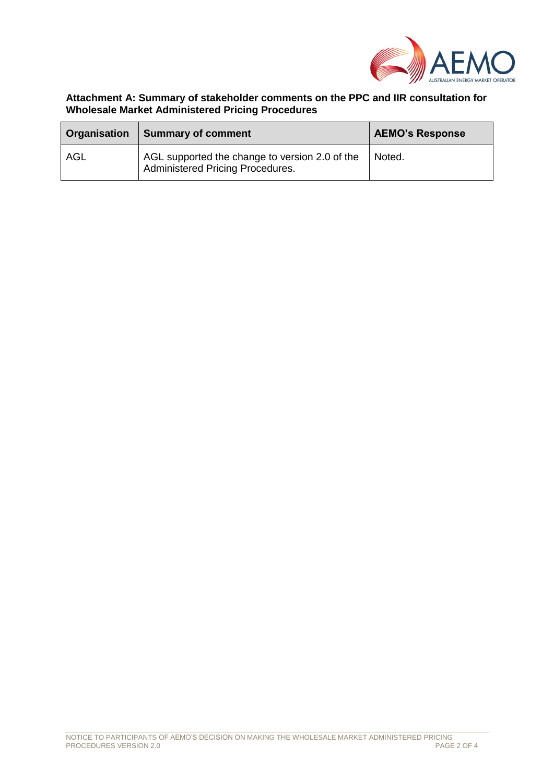

### **Attachment A: Summary of stakeholder comments on the PPC and IIR consultation for Wholesale Market Administered Pricing Procedures**

| Organisation | <b>Summary of comment</b>                                                          | <b>AEMO's Response</b> |
|--------------|------------------------------------------------------------------------------------|------------------------|
| AGL          | AGL supported the change to version 2.0 of the<br>Administered Pricing Procedures. | Noted.                 |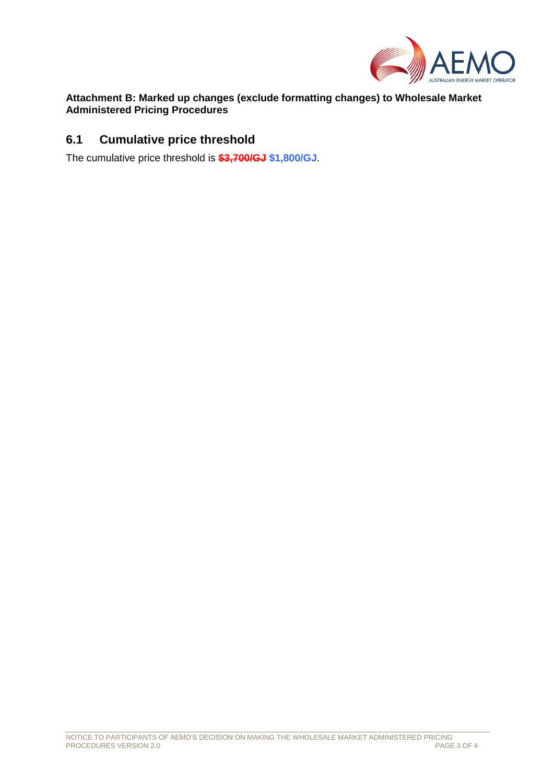

### **Attachment B: Marked up changes (exclude formatting changes) to Wholesale Market Administered Pricing Procedures**

## **6.1 Cumulative price threshold**

The cumulative price threshold is **\$3,700/GJ \$1,800/GJ**.